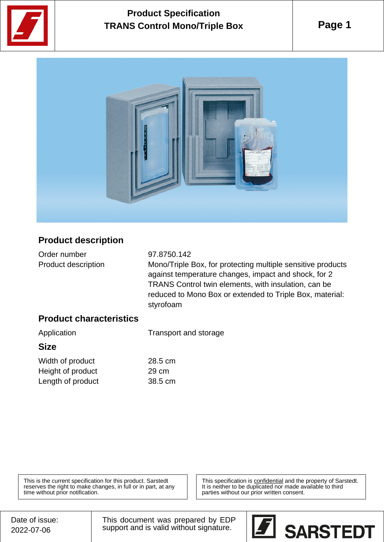

# **Product Specification TRANS Control Mono/Triple Box**

**Page 1**



### **Product description**

Order number 97.8750.142

Product description Mono/Triple Box, for protecting multiple sensitive products against temperature changes, impact and shock, for 2 TRANS Control twin elements, with insulation, can be reduced to Mono Box or extended to Triple Box, material: styrofoam

#### **Product characteristics**

| Application<br><b>Size</b> | Transport and storage |
|----------------------------|-----------------------|
|                            |                       |
| Height of product          | 29 cm                 |

Length of product 38.5 cm

This is the current specification for this product. Sarstedt reserves the right to make changes, in full or in part, at any time without prior notification.

This specification is confidential and the property of Sarstedt. It is neither to be duplicated nor made available to third parties without our prior written consent.

Date of issue: 2022-07-06

This document was prepared by EDP support and is valid without signature.